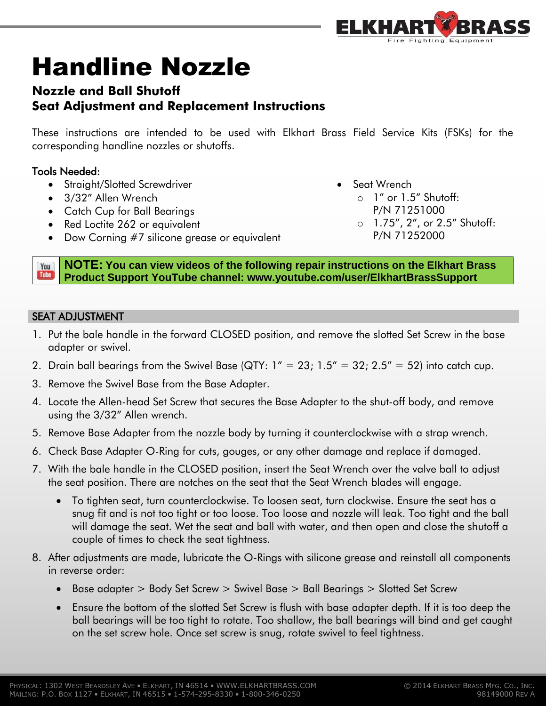

# Handline Nozzle

# **Nozzle and Ball Shutoff Seat Adjustment and Replacement Instructions**

These instructions are intended to be used with Elkhart Brass Field Service Kits (FSKs) for the corresponding handline nozzles or shutoffs.

## Tools Needed:

- Straight/Slotted Screwdriver
- 3/32" Allen Wrench
- Catch Cup for Ball Bearings
- Red Loctite 262 or equivalent
- Dow Corning #7 silicone grease or equivalent
- Seat Wrench
	- o 1" or 1.5" Shutoff:
		- P/N 71251000
	- o 1.75", 2", or 2.5" Shutoff: P/N 71252000

**NOTE: You can view videos of the following repair instructions on the Elkhart Brass**  You **Tube Product Support YouTube channel: www.youtube.com/user/ElkhartBrassSupport**

### SEAT ADJUSTMENT

- 1. Put the bale handle in the forward CLOSED position, and remove the slotted Set Screw in the base adapter or swivel.
- 2. Drain ball bearings from the Swivel Base (QTY:  $1'' = 23$ ;  $1.5'' = 32$ ;  $2.5'' = 52$ ) into catch cup.
- 3. Remove the Swivel Base from the Base Adapter.
- 4. Locate the Allen-head Set Screw that secures the Base Adapter to the shut-off body, and remove using the 3/32" Allen wrench.
- 5. Remove Base Adapter from the nozzle body by turning it counterclockwise with a strap wrench.
- 6. Check Base Adapter O-Ring for cuts, gouges, or any other damage and replace if damaged.
- 7. With the bale handle in the CLOSED position, insert the Seat Wrench over the valve ball to adjust the seat position. There are notches on the seat that the Seat Wrench blades will engage.
	- To tighten seat, turn counterclockwise. To loosen seat, turn clockwise. Ensure the seat has a snug fit and is not too tight or too loose. Too loose and nozzle will leak. Too tight and the ball will damage the seat. Wet the seat and ball with water, and then open and close the shutoff a couple of times to check the seat tightness.
- 8. After adjustments are made, lubricate the O-Rings with silicone grease and reinstall all components in reverse order:
	- Base adapter > Body Set Screw > Swivel Base > Ball Bearings > Slotted Set Screw
	- Ensure the bottom of the slotted Set Screw is flush with base adapter depth. If it is too deep the ball bearings will be too tight to rotate. Too shallow, the ball bearings will bind and get caught on the set screw hole. Once set screw is snug, rotate swivel to feel tightness.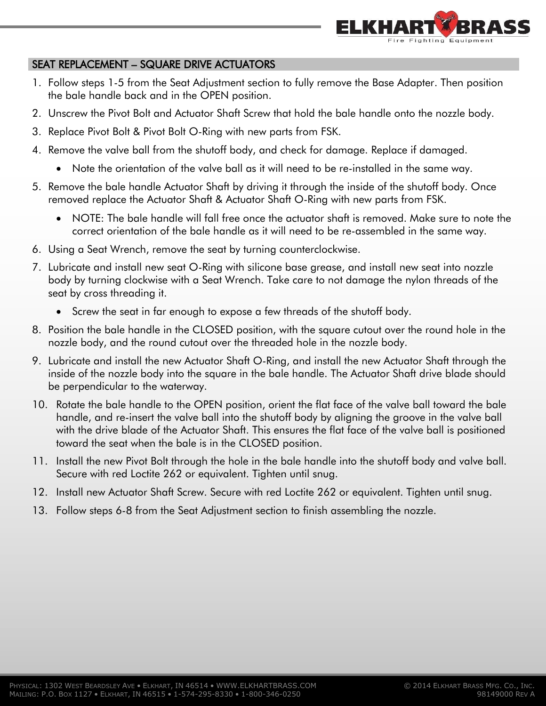

#### SEAT REPLACEMENT – SQUARE DRIVE ACTUATORS

- 1. Follow steps 1-5 from the Seat Adjustment section to fully remove the Base Adapter. Then position the bale handle back and in the OPEN position.
- 2. Unscrew the Pivot Bolt and Actuator Shaft Screw that hold the bale handle onto the nozzle body.
- 3. Replace Pivot Bolt & Pivot Bolt O-Ring with new parts from FSK.
- 4. Remove the valve ball from the shutoff body, and check for damage. Replace if damaged.
	- Note the orientation of the valve ball as it will need to be re-installed in the same way.
- 5. Remove the bale handle Actuator Shaft by driving it through the inside of the shutoff body. Once removed replace the Actuator Shaft & Actuator Shaft O-Ring with new parts from FSK.
	- NOTE: The bale handle will fall free once the actuator shaft is removed. Make sure to note the correct orientation of the bale handle as it will need to be re-assembled in the same way.
- 6. Using a Seat Wrench, remove the seat by turning counterclockwise.
- 7. Lubricate and install new seat O-Ring with silicone base grease, and install new seat into nozzle body by turning clockwise with a Seat Wrench. Take care to not damage the nylon threads of the seat by cross threading it.
	- Screw the seat in far enough to expose a few threads of the shutoff body.
- 8. Position the bale handle in the CLOSED position, with the square cutout over the round hole in the nozzle body, and the round cutout over the threaded hole in the nozzle body.
- 9. Lubricate and install the new Actuator Shaft O-Ring, and install the new Actuator Shaft through the inside of the nozzle body into the square in the bale handle. The Actuator Shaft drive blade should be perpendicular to the waterway.
- 10. Rotate the bale handle to the OPEN position, orient the flat face of the valve ball toward the bale handle, and re-insert the valve ball into the shutoff body by aligning the groove in the valve ball with the drive blade of the Actuator Shaft. This ensures the flat face of the valve ball is positioned toward the seat when the bale is in the CLOSED position.
- 11. Install the new Pivot Bolt through the hole in the bale handle into the shutoff body and valve ball. Secure with red Loctite 262 or equivalent. Tighten until snug.
- 12. Install new Actuator Shaft Screw. Secure with red Loctite 262 or equivalent. Tighten until snug.
- 13. Follow steps 6-8 from the Seat Adjustment section to finish assembling the nozzle.